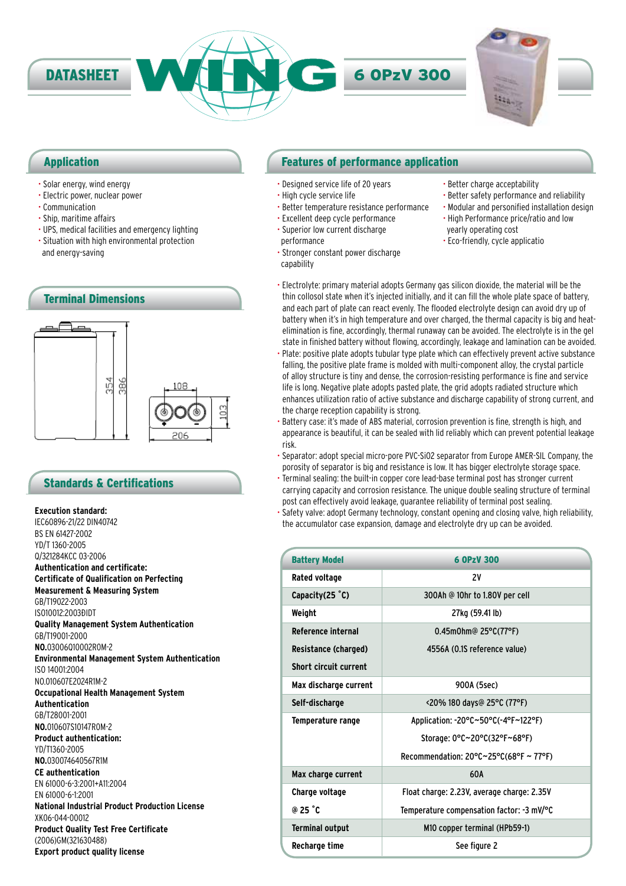

### Application

- Solar energy, wind energy
- Electric power, nuclear power
- Communication
- Ship, maritime affairs
- UPS, medical facilities and emergency lighting
- Situation with high environmental protection and energy-saving



### Standards & Certifications

**Execution standard:**

IEC60896-21/22 DIN40742 BS EN 61427-2002 YD/T 1360-2005 Q/321284KCC 03-2006 **Authentication and certificate: Certificate of Qualification on Perfecting Measurement & Measuring System** GB/T19022-2003 IS010012:2003ĐIDT **Quality Management System Authentication** GB/T19001-2000 **NO.**03006Q10002R0M-2 **Environmental Management System Authentication** ISO 14001:2004 NO.010607E2024R1M-2 **Occupational Health Management System Authentication** GB/T28001-2001 **NO.**010607S10147R0M-2 **Product authentication:** YD/T1360-2005 **NO.**030074640567R1M **CE authentication** EN 61000-6-3:2001+A11:2004 EN 61000-6-1:2001 **National Industrial Product Production License** XK06-044-00012 **Product Quality Test Free Certificate** (2006)GM(321630488) **Export product quality license**

### Features of performance application

- Designed service life of 20 years
- High cycle service life
- Better temperature resistance performance
- Excellent deep cycle performance • Superior low current discharge
	- performance
- Better charge acceptability
- Better safety performance and reliability • Modular and personified installation design
- 
- 
- Stronger constant power discharge
- capability
- High Performance price/ratio and low
- yearly operating cost
- Eco-friendly, cycle applicatio
- Electrolyte: primary material adopts Germany gas silicon dioxide, the material will be the thin collosol state when it's injected initially, and it can fill the whole plate space of battery, and each part of plate can react evenly. The flooded electrolyte design can avoid dry up of battery when it's in high temperature and over charged, the thermal capacity is big and heatelimination is fine, accordingly, thermal runaway can be avoided. The electrolyte is in the gel state in finished battery without flowing, accordingly, leakage and lamination can be avoided.
- Plate: positive plate adopts tubular type plate which can effectively prevent active substance falling, the positive plate frame is molded with multi-component alloy, the crystal particle of alloy structure is tiny and dense, the corrosion-resisting performance is fine and service life is long. Negative plate adopts pasted plate, the grid adopts radiated structure which enhances utilization ratio of active substance and discharge capability of strong current, and the charge reception capability is strong.
- Battery case: it's made of ABS material, corrosion prevention is fine, strength is high, and appearance is beautiful, it can be sealed with lid reliably which can prevent potential leakage risk.
- Separator: adopt special micro-pore PVC-SiO2 separator from Europe AMER-SIL Company, the porosity of separator is big and resistance is low. It has bigger electrolyte storage space.
- Terminal sealing: the built-in copper core lead-base terminal post has stronger current carrying capacity and corrosion resistance. The unique double sealing structure of terminal post can effectively avoid leakage, guarantee reliability of terminal post sealing.
- Safety valve: adopt Germany technology, constant opening and closing valve, high reliability, the accumulator case expansion, damage and electrolyte dry up can be avoided.

| <b>Battery Model</b>         | 6 OPzV 300                                                   |  |
|------------------------------|--------------------------------------------------------------|--|
| Rated voltage                | 2V                                                           |  |
| Capacity $(25 \degree C)$    | 300Ah @ 10hr to 1.80V per cell                               |  |
| Weight                       | 27kg (59.41 lb)                                              |  |
| Reference internal           | 0.45m0hm@ 25°C(77°F)                                         |  |
| Resistance (charged)         | 4556A (0.1S reference value)                                 |  |
| <b>Short circuit current</b> |                                                              |  |
| Max discharge current        | 900A (5sec)                                                  |  |
| Self-discharge               | <20% 180 days@ 25°C (77°F)                                   |  |
| Temperature range            | Application: -20°C~50°C(-4°F~122°F)                          |  |
|                              | Storage: 0°C~20°C(32°F~68°F)                                 |  |
|                              | Recommendation: $20^{\circ}$ C $\sim$ 25°C(68°F $\sim$ 77°F) |  |
| Max charge current           | 60A                                                          |  |
| Charge voltage               | Float charge: 2.23V, average charge: 2.35V                   |  |
| $@25$ $°C$                   | Temperature compensation factor: -3 mV/°C                    |  |
| <b>Terminal output</b>       | M10 copper terminal (HPb59-1)                                |  |
| Recharge time                | See figure 2                                                 |  |